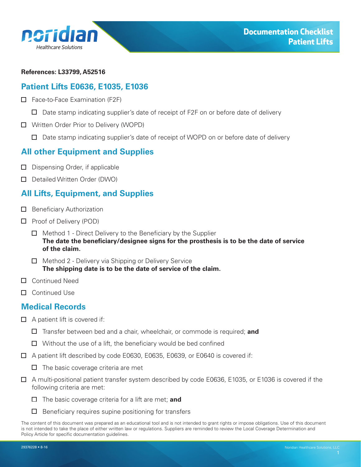<span id="page-0-0"></span>

#### **References: L33799, A52516**

### **Patient Lifts E0636, E1035, E1036**

- □ Face-to-Face Examination (F2F)
	- $\Box$  Date stamp indicating supplier's date of receipt of F2F on or before date of delivery
- □ Written Order Prior to Delivery (WOPD)
	- $\Box$  Date stamp indicating supplier's date of receipt of WOPD on or before date of delivery

## **All other Equipment and Supplies**

- $\Box$  Dispensing Order, if applicable
- D Detailed Written Order (DWO)

# **All Lifts, Equipment, and Supplies**

- $\Box$  Beneficiary Authorization
- $\Box$  Proof of Delivery (POD)
	- $\Box$  Method 1 Direct Delivery to the Beneficiary by the Supplier **The date the beneficiary/designee signs for the prosthesis is to be the date of service of the claim.**
	- $\Box$  Method 2 Delivery via Shipping or Delivery Service **The shipping date is to be the date of service of the claim.**
- □ Continued Need
- □ Continued Use

### **Medical Records**

- $\Box$  A patient lift is covered if:
	- Transfer between bed and a chair, wheelchair, or commode is required; **and**
	- $\Box$  Without the use of a lift, the beneficiary would be bed confined
- A patient lift described by code E0630, E0635, E0639, or E0640 is covered if:
	- $\Box$  The basic coverage criteria are met
- A multi-positional patient transfer system described by code E0636, E1035, or E1036 is covered if the following criteria are met:
	- The basic coverage criteria for a lift are met; **and**
	- $\Box$  Beneficiary requires supine positioning for transfers

The content of this document was prepared as an educational tool and is not intended to grant rights or impose obligations. Use of this document is not intended to take the place of either written law or regulations. Suppliers are reminded to review the Local Coverage Determination and Policy Article for specific documentation guidelines.